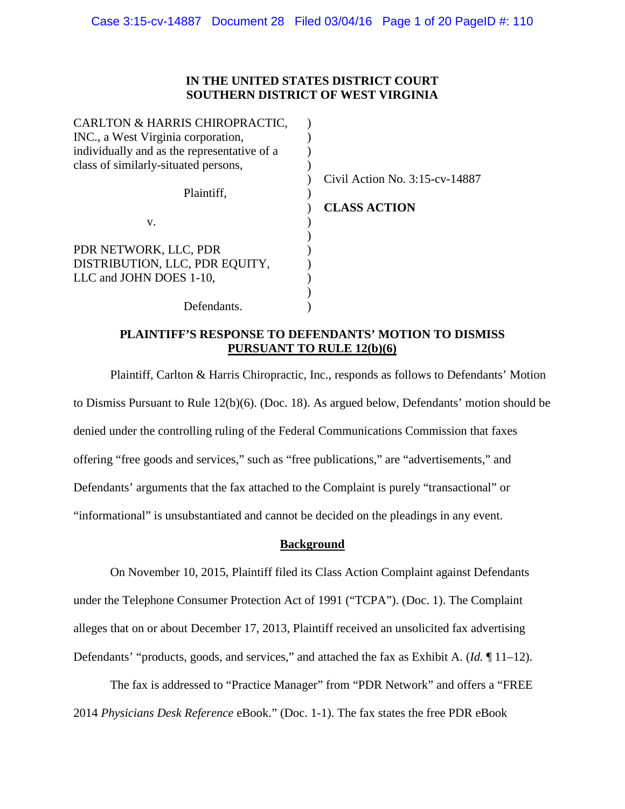### **IN THE UNITED STATES DISTRICT COURT SOUTHERN DISTRICT OF WEST VIRGINIA**

| CARLTON & HARRIS CHIROPRACTIC,              |                                   |
|---------------------------------------------|-----------------------------------|
| INC., a West Virginia corporation,          |                                   |
| individually and as the representative of a |                                   |
| class of similarly-situated persons,        |                                   |
|                                             | Civil Action No. $3:15$ -cv-14887 |
| Plaintiff,                                  |                                   |
|                                             | <b>CLASS ACTION</b>               |
| v.                                          |                                   |
|                                             |                                   |
| PDR NETWORK, LLC, PDR                       |                                   |
| DISTRIBUTION, LLC, PDR EQUITY,              |                                   |
| LLC and JOHN DOES 1-10,                     |                                   |
|                                             |                                   |
| Defendants.                                 |                                   |
|                                             |                                   |

# **PLAINTIFF'S RESPONSE TO DEFENDANTS' MOTION TO DISMISS PURSUANT TO RULE 12(b)(6)**

Plaintiff, Carlton & Harris Chiropractic, Inc., responds as follows to Defendants' Motion to Dismiss Pursuant to Rule 12(b)(6). (Doc. 18). As argued below, Defendants' motion should be denied under the controlling ruling of the Federal Communications Commission that faxes offering "free goods and services," such as "free publications," are "advertisements," and Defendants' arguments that the fax attached to the Complaint is purely "transactional" or "informational" is unsubstantiated and cannot be decided on the pleadings in any event.

### **Background**

On November 10, 2015, Plaintiff filed its Class Action Complaint against Defendants under the Telephone Consumer Protection Act of 1991 ("TCPA"). (Doc. 1). The Complaint alleges that on or about December 17, 2013, Plaintiff received an unsolicited fax advertising Defendants' "products, goods, and services," and attached the fax as Exhibit A. (*Id.* ¶ 11–12).

The fax is addressed to "Practice Manager" from "PDR Network" and offers a "FREE 2014 *Physicians Desk Reference* eBook." (Doc. 1-1). The fax states the free PDR eBook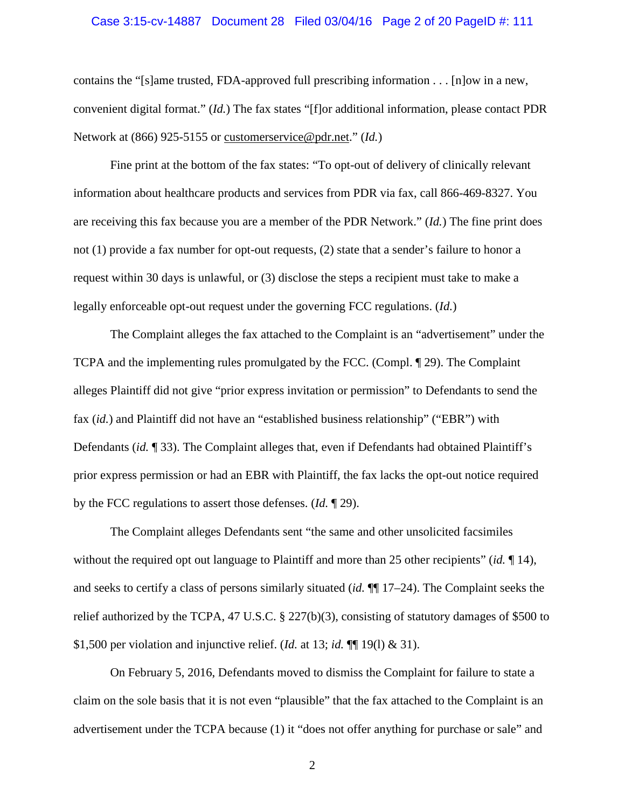#### Case 3:15-cv-14887 Document 28 Filed 03/04/16 Page 2 of 20 PageID #: 111

contains the "[s]ame trusted, FDA-approved full prescribing information . . . [n]ow in a new, convenient digital format." (*Id.*) The fax states "[f]or additional information, please contact PDR Network at (866) 925-5155 or customerservice@pdr.net." (*Id.*)

Fine print at the bottom of the fax states: "To opt-out of delivery of clinically relevant information about healthcare products and services from PDR via fax, call 866-469-8327. You are receiving this fax because you are a member of the PDR Network." (*Id.*) The fine print does not (1) provide a fax number for opt-out requests, (2) state that a sender's failure to honor a request within 30 days is unlawful, or (3) disclose the steps a recipient must take to make a legally enforceable opt-out request under the governing FCC regulations. (*Id.*)

The Complaint alleges the fax attached to the Complaint is an "advertisement" under the TCPA and the implementing rules promulgated by the FCC. (Compl. ¶ 29). The Complaint alleges Plaintiff did not give "prior express invitation or permission" to Defendants to send the fax (*id.*) and Plaintiff did not have an "established business relationship" ("EBR") with Defendants (*id.* ¶ 33). The Complaint alleges that, even if Defendants had obtained Plaintiff's prior express permission or had an EBR with Plaintiff, the fax lacks the opt-out notice required by the FCC regulations to assert those defenses. (*Id.* ¶ 29).

The Complaint alleges Defendants sent "the same and other unsolicited facsimiles without the required opt out language to Plaintiff and more than 25 other recipients" (*id.* ¶ 14), and seeks to certify a class of persons similarly situated (*id.* ¶¶ 17–24). The Complaint seeks the relief authorized by the TCPA, 47 U.S.C. § 227(b)(3), consisting of statutory damages of \$500 to \$1,500 per violation and injunctive relief. (*Id.* at 13; *id.* ¶¶ 19(l) & 31).

On February 5, 2016, Defendants moved to dismiss the Complaint for failure to state a claim on the sole basis that it is not even "plausible" that the fax attached to the Complaint is an advertisement under the TCPA because (1) it "does not offer anything for purchase or sale" and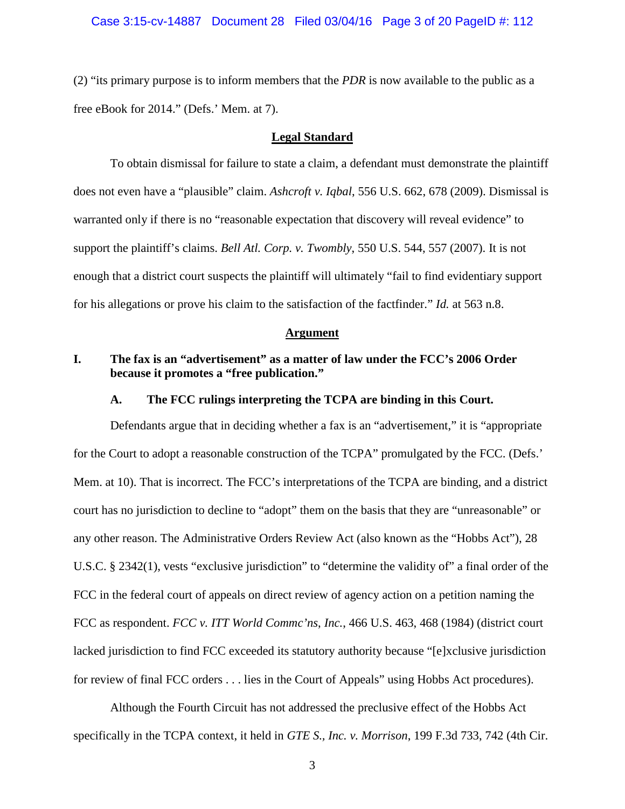#### Case 3:15-cv-14887 Document 28 Filed 03/04/16 Page 3 of 20 PageID #: 112

(2) "its primary purpose is to inform members that the *PDR* is now available to the public as a free eBook for 2014." (Defs.' Mem. at 7).

#### **Legal Standard**

To obtain dismissal for failure to state a claim, a defendant must demonstrate the plaintiff does not even have a "plausible" claim. *Ashcroft v. Iqbal*, 556 U.S. 662, 678 (2009). Dismissal is warranted only if there is no "reasonable expectation that discovery will reveal evidence" to support the plaintiff's claims. *Bell Atl. Corp. v. Twombly*, 550 U.S. 544, 557 (2007). It is not enough that a district court suspects the plaintiff will ultimately "fail to find evidentiary support for his allegations or prove his claim to the satisfaction of the factfinder." *Id.* at 563 n.8.

#### **Argument**

# **I. The fax is an "advertisement" as a matter of law under the FCC's 2006 Order because it promotes a "free publication."**

### **A. The FCC rulings interpreting the TCPA are binding in this Court.**

Defendants argue that in deciding whether a fax is an "advertisement," it is "appropriate for the Court to adopt a reasonable construction of the TCPA" promulgated by the FCC. (Defs.' Mem. at 10). That is incorrect. The FCC's interpretations of the TCPA are binding, and a district court has no jurisdiction to decline to "adopt" them on the basis that they are "unreasonable" or any other reason. The Administrative Orders Review Act (also known as the "Hobbs Act"), 28 U.S.C. § 2342(1), vests "exclusive jurisdiction" to "determine the validity of" a final order of the FCC in the federal court of appeals on direct review of agency action on a petition naming the FCC as respondent. *FCC v. ITT World Commc'ns*, *Inc.*, 466 U.S. 463, 468 (1984) (district court lacked jurisdiction to find FCC exceeded its statutory authority because "[e]xclusive jurisdiction for review of final FCC orders . . . lies in the Court of Appeals" using Hobbs Act procedures).

Although the Fourth Circuit has not addressed the preclusive effect of the Hobbs Act specifically in the TCPA context, it held in *GTE S., Inc. v. Morrison*, 199 F.3d 733, 742 (4th Cir.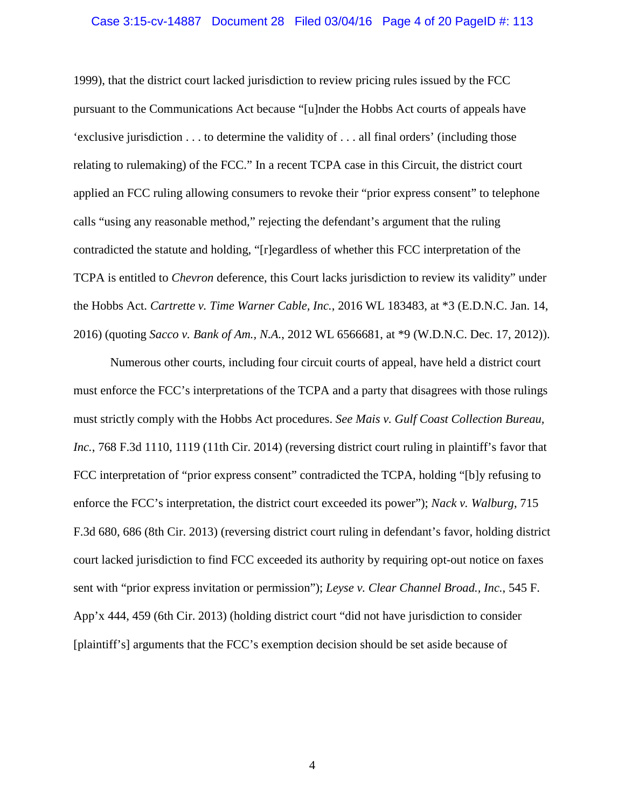#### Case 3:15-cv-14887 Document 28 Filed 03/04/16 Page 4 of 20 PageID #: 113

1999), that the district court lacked jurisdiction to review pricing rules issued by the FCC pursuant to the Communications Act because "[u]nder the Hobbs Act courts of appeals have 'exclusive jurisdiction . . . to determine the validity of . . . all final orders' (including those relating to rulemaking) of the FCC." In a recent TCPA case in this Circuit, the district court applied an FCC ruling allowing consumers to revoke their "prior express consent" to telephone calls "using any reasonable method," rejecting the defendant's argument that the ruling contradicted the statute and holding, "[r]egardless of whether this FCC interpretation of the TCPA is entitled to *Chevron* deference, this Court lacks jurisdiction to review its validity" under the Hobbs Act. *Cartrette v. Time Warner Cable, Inc.*, 2016 WL 183483, at \*3 (E.D.N.C. Jan. 14, 2016) (quoting *Sacco v. Bank of Am., N.A.*, 2012 WL 6566681, at \*9 (W.D.N.C. Dec. 17, 2012)).

Numerous other courts, including four circuit courts of appeal, have held a district court must enforce the FCC's interpretations of the TCPA and a party that disagrees with those rulings must strictly comply with the Hobbs Act procedures. *See Mais v. Gulf Coast Collection Bureau, Inc.*, 768 F.3d 1110, 1119 (11th Cir. 2014) (reversing district court ruling in plaintiff's favor that FCC interpretation of "prior express consent" contradicted the TCPA, holding "[b]y refusing to enforce the FCC's interpretation, the district court exceeded its power"); *Nack v. Walburg*, 715 F.3d 680, 686 (8th Cir. 2013) (reversing district court ruling in defendant's favor, holding district court lacked jurisdiction to find FCC exceeded its authority by requiring opt-out notice on faxes sent with "prior express invitation or permission"); *Leyse v. Clear Channel Broad., Inc.*, 545 F. App'x 444, 459 (6th Cir. 2013) (holding district court "did not have jurisdiction to consider [plaintiff's] arguments that the FCC's exemption decision should be set aside because of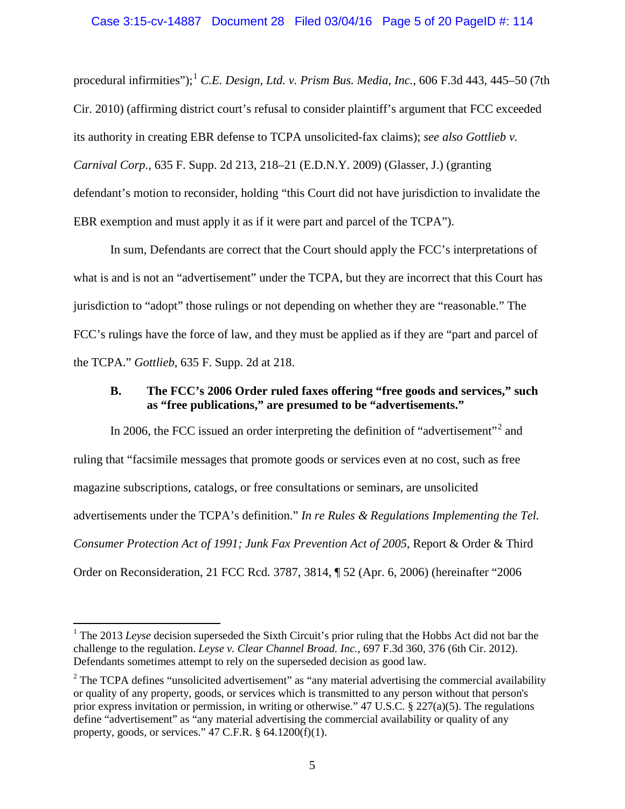procedural infirmities"); [1](#page-4-0) *C.E. Design, Ltd. v. Prism Bus. Media, Inc.*, 606 F.3d 443, 445–50 (7th Cir. 2010) (affirming district court's refusal to consider plaintiff's argument that FCC exceeded its authority in creating EBR defense to TCPA unsolicited-fax claims); *see also Gottlieb v. Carnival Corp.*, 635 F. Supp. 2d 213, 218–21 (E.D.N.Y. 2009) (Glasser, J.) (granting defendant's motion to reconsider, holding "this Court did not have jurisdiction to invalidate the EBR exemption and must apply it as if it were part and parcel of the TCPA").

In sum, Defendants are correct that the Court should apply the FCC's interpretations of what is and is not an "advertisement" under the TCPA, but they are incorrect that this Court has jurisdiction to "adopt" those rulings or not depending on whether they are "reasonable." The FCC's rulings have the force of law, and they must be applied as if they are "part and parcel of the TCPA." *Gottlieb*, 635 F. Supp. 2d at 218.

## **B. The FCC's 2006 Order ruled faxes offering "free goods and services," such as "free publications," are presumed to be "advertisements."**

In [2](#page-4-1)006, the FCC issued an order interpreting the definition of "advertisement"<sup>2</sup> and ruling that "facsimile messages that promote goods or services even at no cost, such as free magazine subscriptions, catalogs, or free consultations or seminars, are unsolicited advertisements under the TCPA's definition." *In re Rules & Regulations Implementing the Tel. Consumer Protection Act of 1991; Junk Fax Prevention Act of 2005*, Report & Order & Third Order on Reconsideration, 21 FCC Rcd. 3787, 3814, ¶ 52 (Apr. 6, 2006) (hereinafter "2006

l

<span id="page-4-0"></span><sup>&</sup>lt;sup>1</sup> The 2013 *Leyse* decision superseded the Sixth Circuit's prior ruling that the Hobbs Act did not bar the challenge to the regulation. *Leyse v. Clear Channel Broad. Inc.*, 697 F.3d 360, 376 (6th Cir. 2012). Defendants sometimes attempt to rely on the superseded decision as good law.

<span id="page-4-1"></span> $2$  The TCPA defines "unsolicited advertisement" as "any material advertising the commercial availability or quality of any property, goods, or services which is transmitted to any person without that person's prior express invitation or permission, in writing or otherwise." 47 U.S.C.  $\S$  227(a)(5). The regulations define "advertisement" as "any material advertising the commercial availability or quality of any property, goods, or services."  $47$  C.F.R.  $\S$  64.1200(f)(1).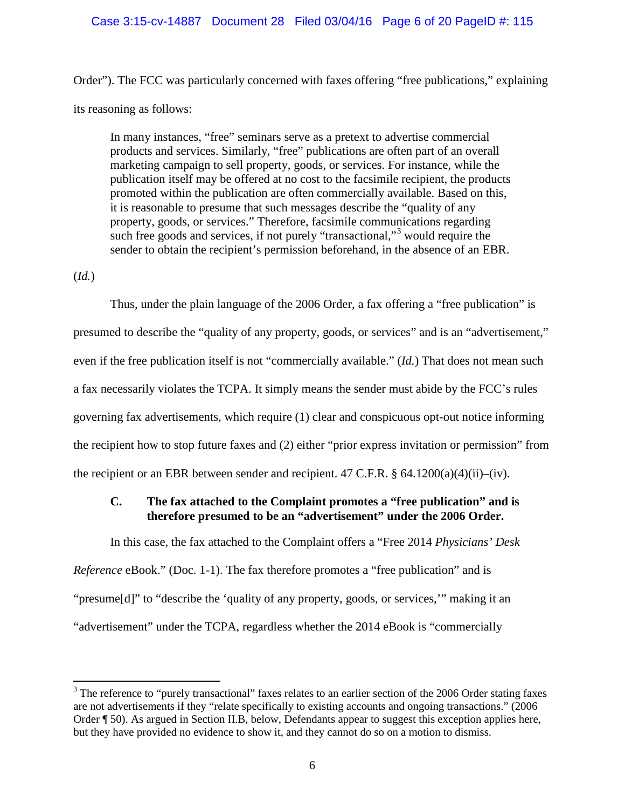### Case 3:15-cv-14887 Document 28 Filed 03/04/16 Page 6 of 20 PageID #: 115

Order"). The FCC was particularly concerned with faxes offering "free publications," explaining its reasoning as follows:

In many instances, "free" seminars serve as a pretext to advertise commercial products and services. Similarly, "free" publications are often part of an overall marketing campaign to sell property, goods, or services. For instance, while the publication itself may be offered at no cost to the facsimile recipient, the products promoted within the publication are often commercially available. Based on this, it is reasonable to presume that such messages describe the "quality of any property, goods, or services." Therefore, facsimile communications regarding such free goods and services, if not purely "transactional,"<sup>[3](#page-5-0)</sup> would require the sender to obtain the recipient's permission beforehand, in the absence of an EBR.

# (*Id.*)

 $\overline{\phantom{a}}$ 

Thus, under the plain language of the 2006 Order, a fax offering a "free publication" is presumed to describe the "quality of any property, goods, or services" and is an "advertisement," even if the free publication itself is not "commercially available." (*Id.*) That does not mean such a fax necessarily violates the TCPA. It simply means the sender must abide by the FCC's rules governing fax advertisements, which require (1) clear and conspicuous opt-out notice informing the recipient how to stop future faxes and (2) either "prior express invitation or permission" from the recipient or an EBR between sender and recipient. 47 C.F.R.  $\S$  64.1200(a)(4)(ii)–(iv).

# **C. The fax attached to the Complaint promotes a "free publication" and is therefore presumed to be an "advertisement" under the 2006 Order.**

In this case, the fax attached to the Complaint offers a "Free 2014 *Physicians' Desk* 

*Reference* eBook." (Doc. 1-1). The fax therefore promotes a "free publication" and is "presume[d]" to "describe the 'quality of any property, goods, or services,'" making it an "advertisement" under the TCPA, regardless whether the 2014 eBook is "commercially

<span id="page-5-0"></span><sup>&</sup>lt;sup>3</sup> The reference to "purely transactional" faxes relates to an earlier section of the 2006 Order stating faxes are not advertisements if they "relate specifically to existing accounts and ongoing transactions." (2006 Order ¶ 50). As argued in Section II.B, below, Defendants appear to suggest this exception applies here, but they have provided no evidence to show it, and they cannot do so on a motion to dismiss.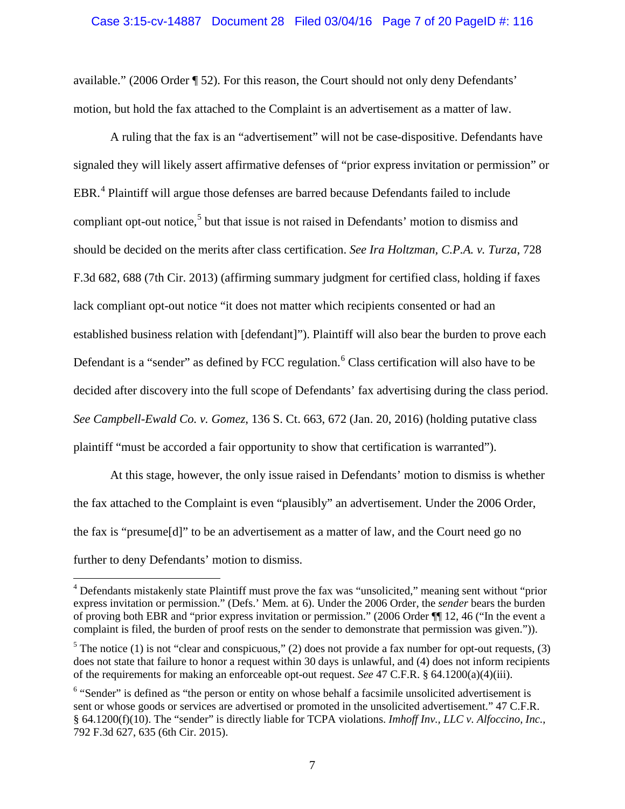### Case 3:15-cv-14887 Document 28 Filed 03/04/16 Page 7 of 20 PageID #: 116

available." (2006 Order ¶ 52). For this reason, the Court should not only deny Defendants' motion, but hold the fax attached to the Complaint is an advertisement as a matter of law.

A ruling that the fax is an "advertisement" will not be case-dispositive. Defendants have signaled they will likely assert affirmative defenses of "prior express invitation or permission" or EBR.<sup>[4](#page-6-0)</sup> Plaintiff will argue those defenses are barred because Defendants failed to include compliant opt-out notice,<sup>[5](#page-6-1)</sup> but that issue is not raised in Defendants' motion to dismiss and should be decided on the merits after class certification. *See Ira Holtzman, C.P.A. v. Turza*, 728 F.3d 682, 688 (7th Cir. 2013) (affirming summary judgment for certified class, holding if faxes lack compliant opt-out notice "it does not matter which recipients consented or had an established business relation with [defendant]"). Plaintiff will also bear the burden to prove each Defendant is a "sender" as defined by FCC regulation.<sup>[6](#page-6-2)</sup> Class certification will also have to be decided after discovery into the full scope of Defendants' fax advertising during the class period. *See Campbell-Ewald Co. v. Gomez*, 136 S. Ct. 663, 672 (Jan. 20, 2016) (holding putative class plaintiff "must be accorded a fair opportunity to show that certification is warranted").

At this stage, however, the only issue raised in Defendants' motion to dismiss is whether the fax attached to the Complaint is even "plausibly" an advertisement. Under the 2006 Order, the fax is "presume[d]" to be an advertisement as a matter of law, and the Court need go no further to deny Defendants' motion to dismiss.

 $\overline{\phantom{a}}$ 

<span id="page-6-0"></span><sup>&</sup>lt;sup>4</sup> Defendants mistakenly state Plaintiff must prove the fax was "unsolicited," meaning sent without "prior express invitation or permission." (Defs.' Mem. at 6). Under the 2006 Order, the *sender* bears the burden of proving both EBR and "prior express invitation or permission." (2006 Order ¶¶ 12, 46 ("In the event a complaint is filed, the burden of proof rests on the sender to demonstrate that permission was given.")).

<span id="page-6-1"></span><sup>&</sup>lt;sup>5</sup> The notice (1) is not "clear and conspicuous," (2) does not provide a fax number for opt-out requests, (3) does not state that failure to honor a request within 30 days is unlawful, and (4) does not inform recipients of the requirements for making an enforceable opt-out request. *See* 47 C.F.R. § 64.1200(a)(4)(iii).

<span id="page-6-2"></span><sup>&</sup>lt;sup>6</sup> "Sender" is defined as "the person or entity on whose behalf a facsimile unsolicited advertisement is sent or whose goods or services are advertised or promoted in the unsolicited advertisement." 47 C.F.R. § 64.1200(f)(10). The "sender" is directly liable for TCPA violations. *Imhoff Inv., LLC v. Alfoccino, Inc.*, 792 F.3d 627, 635 (6th Cir. 2015).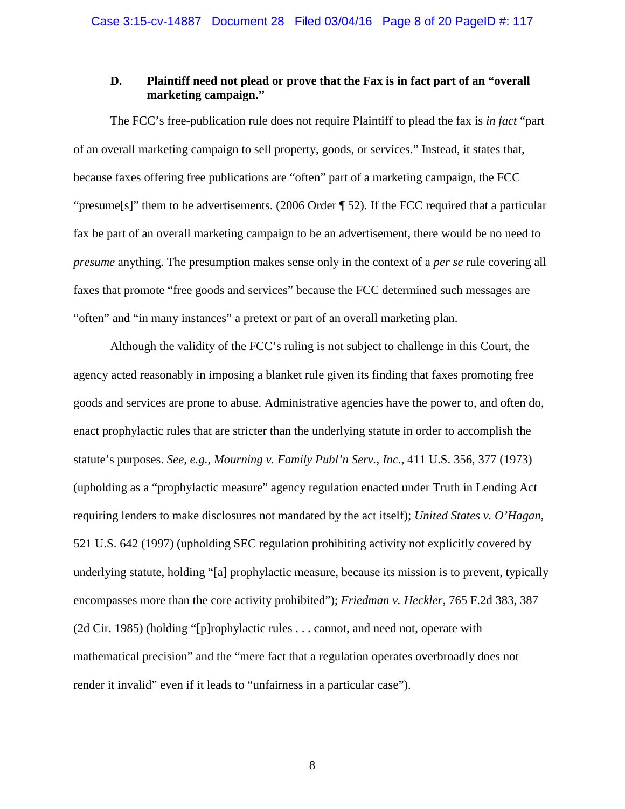# **D. Plaintiff need not plead or prove that the Fax is in fact part of an "overall marketing campaign."**

The FCC's free-publication rule does not require Plaintiff to plead the fax is *in fact* "part of an overall marketing campaign to sell property, goods, or services." Instead, it states that, because faxes offering free publications are "often" part of a marketing campaign, the FCC "presume[s]" them to be advertisements. (2006 Order ¶ 52). If the FCC required that a particular fax be part of an overall marketing campaign to be an advertisement, there would be no need to *presume* anything. The presumption makes sense only in the context of a *per se* rule covering all faxes that promote "free goods and services" because the FCC determined such messages are "often" and "in many instances" a pretext or part of an overall marketing plan.

Although the validity of the FCC's ruling is not subject to challenge in this Court, the agency acted reasonably in imposing a blanket rule given its finding that faxes promoting free goods and services are prone to abuse. Administrative agencies have the power to, and often do, enact prophylactic rules that are stricter than the underlying statute in order to accomplish the statute's purposes. *See, e.g.*, *Mourning v. Family Publ'n Serv., Inc.*, 411 U.S. 356, 377 (1973) (upholding as a "prophylactic measure" agency regulation enacted under Truth in Lending Act requiring lenders to make disclosures not mandated by the act itself); *United States v. O'Hagan*, 521 U.S. 642 (1997) (upholding SEC regulation prohibiting activity not explicitly covered by underlying statute, holding "[a] prophylactic measure, because its mission is to prevent, typically encompasses more than the core activity prohibited"); *Friedman v. Heckler*, 765 F.2d 383, 387 (2d Cir. 1985) (holding "[p]rophylactic rules . . . cannot, and need not, operate with mathematical precision" and the "mere fact that a regulation operates overbroadly does not render it invalid" even if it leads to "unfairness in a particular case").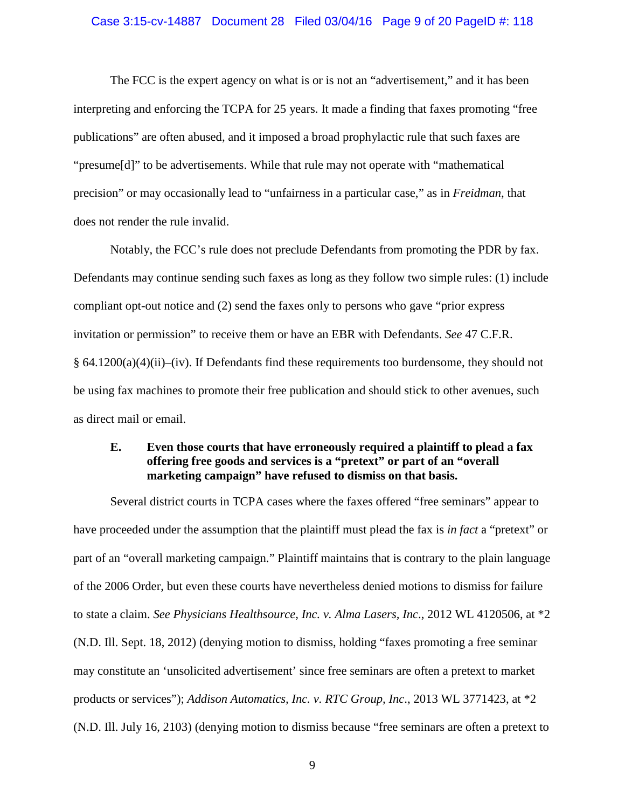#### Case 3:15-cv-14887 Document 28 Filed 03/04/16 Page 9 of 20 PageID #: 118

The FCC is the expert agency on what is or is not an "advertisement," and it has been interpreting and enforcing the TCPA for 25 years. It made a finding that faxes promoting "free publications" are often abused, and it imposed a broad prophylactic rule that such faxes are "presume[d]" to be advertisements. While that rule may not operate with "mathematical precision" or may occasionally lead to "unfairness in a particular case," as in *Freidman*, that does not render the rule invalid.

Notably, the FCC's rule does not preclude Defendants from promoting the PDR by fax. Defendants may continue sending such faxes as long as they follow two simple rules: (1) include compliant opt-out notice and (2) send the faxes only to persons who gave "prior express invitation or permission" to receive them or have an EBR with Defendants. *See* 47 C.F.R.  $§ 64.1200(a)(4)(ii)–(iv)$ . If Defendants find these requirements too burdensome, they should not be using fax machines to promote their free publication and should stick to other avenues, such as direct mail or email.

# **E. Even those courts that have erroneously required a plaintiff to plead a fax offering free goods and services is a "pretext" or part of an "overall marketing campaign" have refused to dismiss on that basis.**

Several district courts in TCPA cases where the faxes offered "free seminars" appear to have proceeded under the assumption that the plaintiff must plead the fax is *in fact* a "pretext" or part of an "overall marketing campaign." Plaintiff maintains that is contrary to the plain language of the 2006 Order, but even these courts have nevertheless denied motions to dismiss for failure to state a claim. *See Physicians Healthsource, Inc. v. Alma Lasers, Inc*., 2012 WL 4120506, at \*2 (N.D. Ill. Sept. 18, 2012) (denying motion to dismiss, holding "faxes promoting a free seminar may constitute an 'unsolicited advertisement' since free seminars are often a pretext to market products or services"); *Addison Automatics, Inc. v. RTC Group, Inc*., 2013 WL 3771423, at \*2 (N.D. Ill. July 16, 2103) (denying motion to dismiss because "free seminars are often a pretext to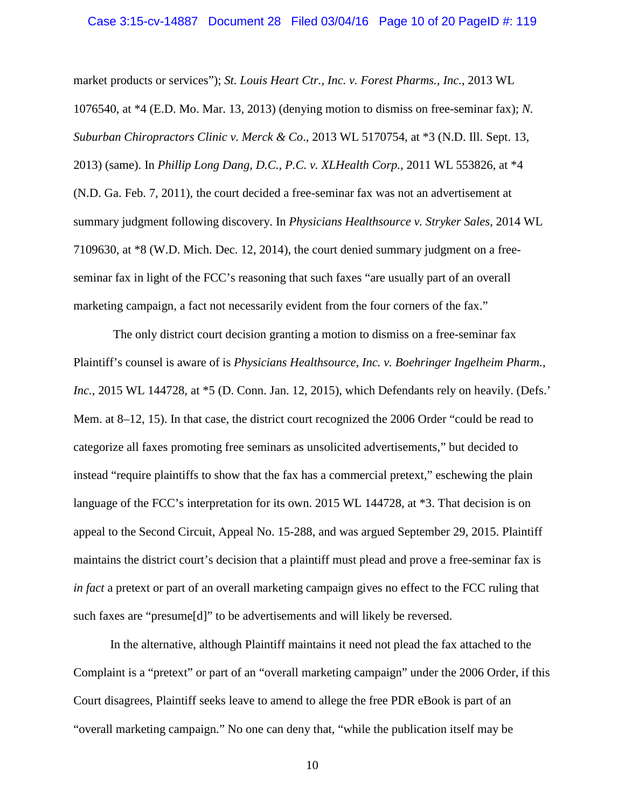market products or services"); *St. Louis Heart Ctr., Inc. v. Forest Pharms., Inc.*, 2013 WL 1076540, at \*4 (E.D. Mo. Mar. 13, 2013) (denying motion to dismiss on free-seminar fax); *N. Suburban Chiropractors Clinic v. Merck & Co*., 2013 WL 5170754, at \*3 (N.D. Ill. Sept. 13, 2013) (same). In *Phillip Long Dang, D.C., P.C. v. XLHealth Corp.*, 2011 WL 553826, at \*4 (N.D. Ga. Feb. 7, 2011), the court decided a free-seminar fax was not an advertisement at summary judgment following discovery. In *Physicians Healthsource v. Stryker Sales*, 2014 WL 7109630, at \*8 (W.D. Mich. Dec. 12, 2014), the court denied summary judgment on a freeseminar fax in light of the FCC's reasoning that such faxes "are usually part of an overall marketing campaign, a fact not necessarily evident from the four corners of the fax."

 The only district court decision granting a motion to dismiss on a free-seminar fax Plaintiff's counsel is aware of is *Physicians Healthsource, Inc. v. Boehringer Ingelheim Pharm., Inc.*, 2015 WL 144728, at \*5 (D. Conn. Jan. 12, 2015), which Defendants rely on heavily. (Defs.' Mem. at 8–12, 15). In that case, the district court recognized the 2006 Order "could be read to categorize all faxes promoting free seminars as unsolicited advertisements," but decided to instead "require plaintiffs to show that the fax has a commercial pretext," eschewing the plain language of the FCC's interpretation for its own. 2015 WL 144728, at  $*3$ . That decision is on appeal to the Second Circuit, Appeal No. 15-288, and was argued September 29, 2015. Plaintiff maintains the district court's decision that a plaintiff must plead and prove a free-seminar fax is *in fact* a pretext or part of an overall marketing campaign gives no effect to the FCC ruling that such faxes are "presume[d]" to be advertisements and will likely be reversed.

In the alternative, although Plaintiff maintains it need not plead the fax attached to the Complaint is a "pretext" or part of an "overall marketing campaign" under the 2006 Order, if this Court disagrees, Plaintiff seeks leave to amend to allege the free PDR eBook is part of an "overall marketing campaign." No one can deny that, "while the publication itself may be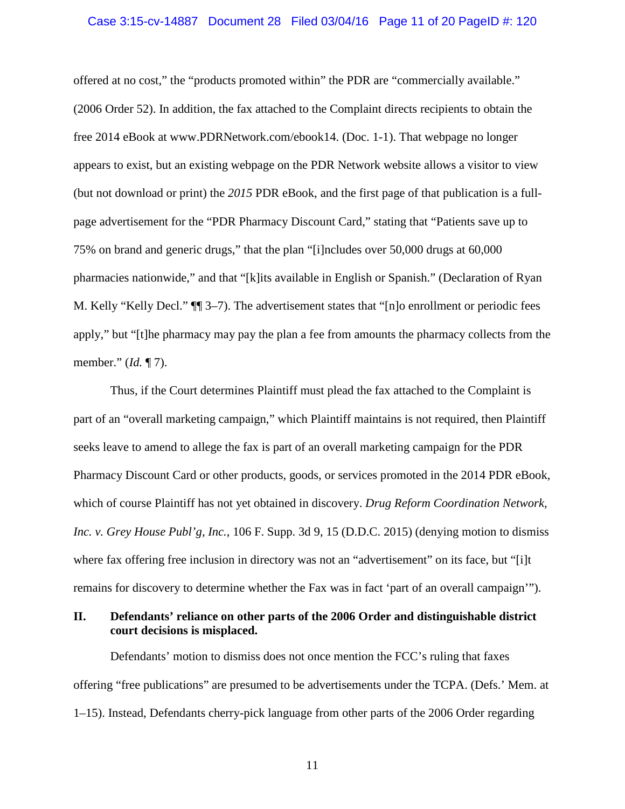#### Case 3:15-cv-14887 Document 28 Filed 03/04/16 Page 11 of 20 PageID #: 120

offered at no cost," the "products promoted within" the PDR are "commercially available." (2006 Order 52). In addition, the fax attached to the Complaint directs recipients to obtain the free 2014 eBook at www.PDRNetwork.com/ebook14. (Doc. 1-1). That webpage no longer appears to exist, but an existing webpage on the PDR Network website allows a visitor to view (but not download or print) the *2015* PDR eBook, and the first page of that publication is a fullpage advertisement for the "PDR Pharmacy Discount Card," stating that "Patients save up to 75% on brand and generic drugs," that the plan "[i]ncludes over 50,000 drugs at 60,000 pharmacies nationwide," and that "[k]its available in English or Spanish." (Declaration of Ryan M. Kelly "Kelly Decl." ¶¶ 3–7). The advertisement states that "[n]o enrollment or periodic fees apply," but "[t]he pharmacy may pay the plan a fee from amounts the pharmacy collects from the member." (*Id.* ¶ 7).

Thus, if the Court determines Plaintiff must plead the fax attached to the Complaint is part of an "overall marketing campaign," which Plaintiff maintains is not required, then Plaintiff seeks leave to amend to allege the fax is part of an overall marketing campaign for the PDR Pharmacy Discount Card or other products, goods, or services promoted in the 2014 PDR eBook, which of course Plaintiff has not yet obtained in discovery. *Drug Reform Coordination Network, Inc. v. Grey House Publ'g, Inc.*, 106 F. Supp. 3d 9, 15 (D.D.C. 2015) (denying motion to dismiss where fax offering free inclusion in directory was not an "advertisement" on its face, but "[i]t remains for discovery to determine whether the Fax was in fact 'part of an overall campaign'").

## **II. Defendants' reliance on other parts of the 2006 Order and distinguishable district court decisions is misplaced.**

Defendants' motion to dismiss does not once mention the FCC's ruling that faxes offering "free publications" are presumed to be advertisements under the TCPA. (Defs.' Mem. at 1–15). Instead, Defendants cherry-pick language from other parts of the 2006 Order regarding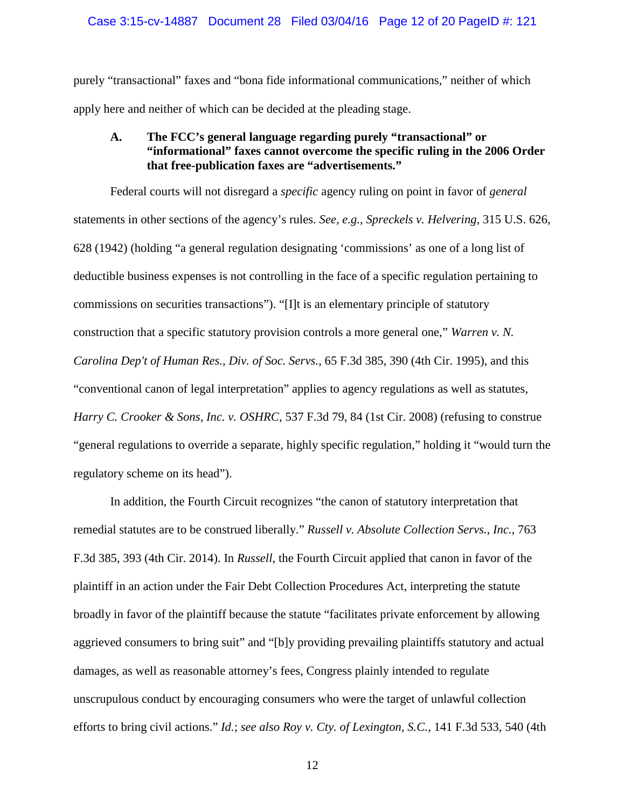### Case 3:15-cv-14887 Document 28 Filed 03/04/16 Page 12 of 20 PageID #: 121

purely "transactional" faxes and "bona fide informational communications," neither of which apply here and neither of which can be decided at the pleading stage.

# **A. The FCC's general language regarding purely "transactional" or "informational" faxes cannot overcome the specific ruling in the 2006 Order that free-publication faxes are "advertisements."**

Federal courts will not disregard a *specific* agency ruling on point in favor of *general*  statements in other sections of the agency's rules. *See, e.g.*, *Spreckels v. Helvering*, 315 U.S. 626, 628 (1942) (holding "a general regulation designating 'commissions' as one of a long list of deductible business expenses is not controlling in the face of a specific regulation pertaining to commissions on securities transactions"). "[I]t is an elementary principle of statutory construction that a specific statutory provision controls a more general one," *Warren v. N. Carolina Dep't of Human Res., Div. of Soc. Servs.*, 65 F.3d 385, 390 (4th Cir. 1995), and this "conventional canon of legal interpretation" applies to agency regulations as well as statutes, *Harry C. Crooker & Sons, Inc. v. OSHRC,* 537 F.3d 79, 84 (1st Cir. 2008) (refusing to construe "general regulations to override a separate, highly specific regulation," holding it "would turn the regulatory scheme on its head").

In addition, the Fourth Circuit recognizes "the canon of statutory interpretation that remedial statutes are to be construed liberally." *Russell v. Absolute Collection Servs., Inc.*, 763 F.3d 385, 393 (4th Cir. 2014). In *Russell*, the Fourth Circuit applied that canon in favor of the plaintiff in an action under the Fair Debt Collection Procedures Act, interpreting the statute broadly in favor of the plaintiff because the statute "facilitates private enforcement by allowing aggrieved consumers to bring suit" and "[b]y providing prevailing plaintiffs statutory and actual damages, as well as reasonable attorney's fees, Congress plainly intended to regulate unscrupulous conduct by encouraging consumers who were the target of unlawful collection efforts to bring civil actions." *Id.*; *see also Roy v. Cty. of Lexington, S.C.*, 141 F.3d 533, 540 (4th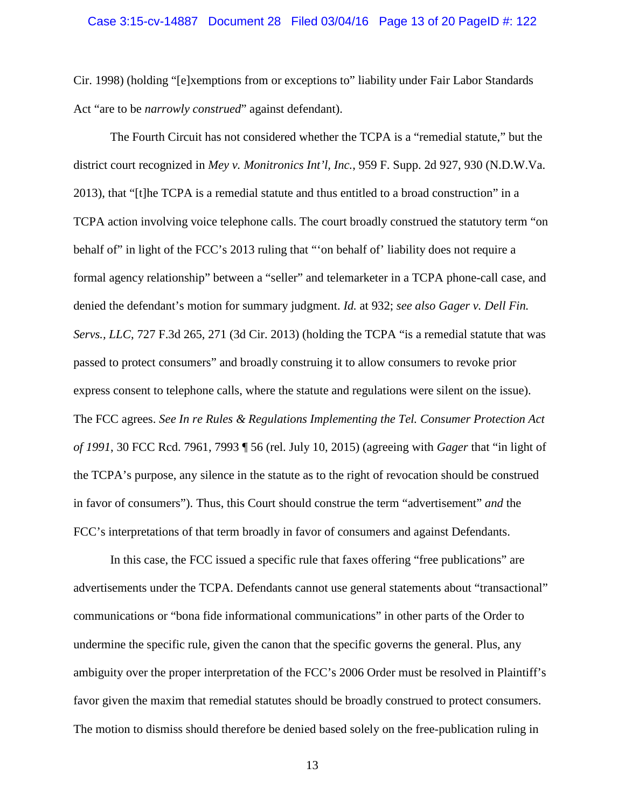#### Case 3:15-cv-14887 Document 28 Filed 03/04/16 Page 13 of 20 PageID #: 122

Cir. 1998) (holding "[e]xemptions from or exceptions to" liability under Fair Labor Standards Act "are to be *narrowly construed*" against defendant).

The Fourth Circuit has not considered whether the TCPA is a "remedial statute," but the district court recognized in *Mey v. Monitronics Int'l, Inc.*, 959 F. Supp. 2d 927, 930 (N.D.W.Va. 2013), that "[t]he TCPA is a remedial statute and thus entitled to a broad construction" in a TCPA action involving voice telephone calls. The court broadly construed the statutory term "on behalf of" in light of the FCC's 2013 ruling that "'on behalf of" liability does not require a formal agency relationship" between a "seller" and telemarketer in a TCPA phone-call case, and denied the defendant's motion for summary judgment. *Id.* at 932; *see also Gager v. Dell Fin. Servs., LLC*, 727 F.3d 265, 271 (3d Cir. 2013) (holding the TCPA "is a remedial statute that was passed to protect consumers" and broadly construing it to allow consumers to revoke prior express consent to telephone calls, where the statute and regulations were silent on the issue). The FCC agrees. *See In re Rules & Regulations Implementing the Tel. Consumer Protection Act of 1991*, 30 FCC Rcd. 7961, 7993 ¶ 56 (rel. July 10, 2015) (agreeing with *Gager* that "in light of the TCPA's purpose, any silence in the statute as to the right of revocation should be construed in favor of consumers"). Thus, this Court should construe the term "advertisement" *and* the FCC's interpretations of that term broadly in favor of consumers and against Defendants.

In this case, the FCC issued a specific rule that faxes offering "free publications" are advertisements under the TCPA. Defendants cannot use general statements about "transactional" communications or "bona fide informational communications" in other parts of the Order to undermine the specific rule, given the canon that the specific governs the general. Plus, any ambiguity over the proper interpretation of the FCC's 2006 Order must be resolved in Plaintiff's favor given the maxim that remedial statutes should be broadly construed to protect consumers. The motion to dismiss should therefore be denied based solely on the free-publication ruling in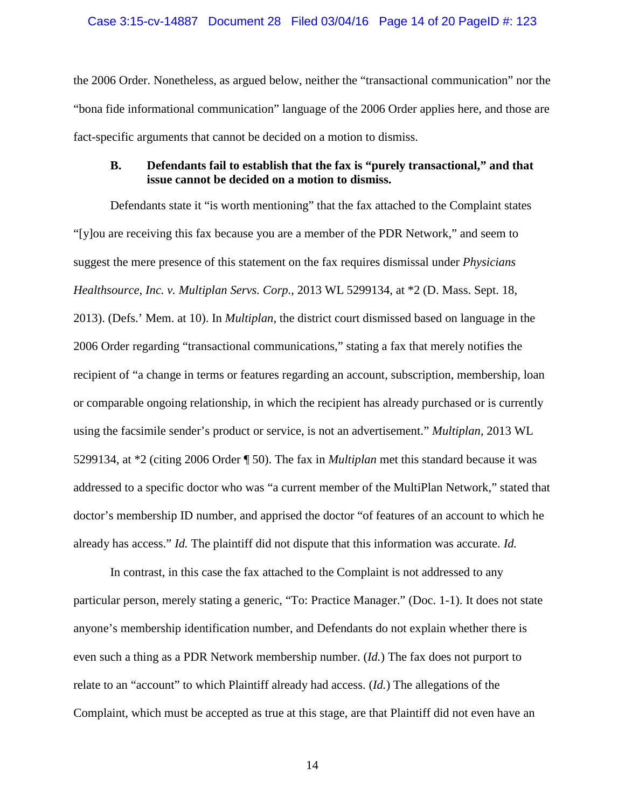### Case 3:15-cv-14887 Document 28 Filed 03/04/16 Page 14 of 20 PageID #: 123

the 2006 Order. Nonetheless, as argued below, neither the "transactional communication" nor the "bona fide informational communication" language of the 2006 Order applies here, and those are fact-specific arguments that cannot be decided on a motion to dismiss.

### **B. Defendants fail to establish that the fax is "purely transactional," and that issue cannot be decided on a motion to dismiss.**

Defendants state it "is worth mentioning" that the fax attached to the Complaint states "[y]ou are receiving this fax because you are a member of the PDR Network," and seem to suggest the mere presence of this statement on the fax requires dismissal under *Physicians Healthsource, Inc. v. Multiplan Servs. Corp.*, 2013 WL 5299134, at \*2 (D. Mass. Sept. 18, 2013). (Defs.' Mem. at 10). In *Multiplan*, the district court dismissed based on language in the 2006 Order regarding "transactional communications," stating a fax that merely notifies the recipient of "a change in terms or features regarding an account, subscription, membership, loan or comparable ongoing relationship, in which the recipient has already purchased or is currently using the facsimile sender's product or service, is not an advertisement." *Multiplan*, 2013 WL 5299134, at \*2 (citing 2006 Order ¶ 50). The fax in *Multiplan* met this standard because it was addressed to a specific doctor who was "a current member of the MultiPlan Network," stated that doctor's membership ID number, and apprised the doctor "of features of an account to which he already has access." *Id.* The plaintiff did not dispute that this information was accurate. *Id.*

In contrast, in this case the fax attached to the Complaint is not addressed to any particular person, merely stating a generic, "To: Practice Manager." (Doc. 1-1). It does not state anyone's membership identification number, and Defendants do not explain whether there is even such a thing as a PDR Network membership number. (*Id.*) The fax does not purport to relate to an "account" to which Plaintiff already had access. (*Id.*) The allegations of the Complaint, which must be accepted as true at this stage, are that Plaintiff did not even have an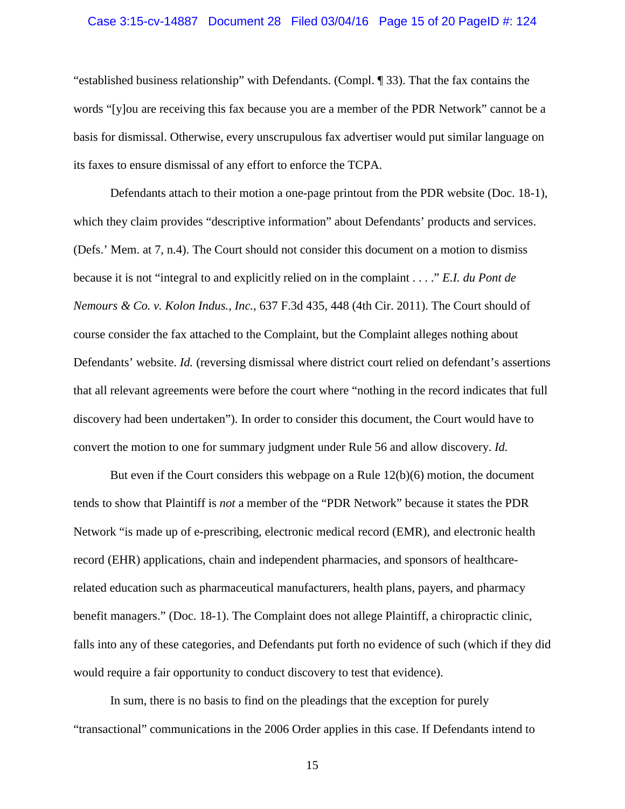#### Case 3:15-cv-14887 Document 28 Filed 03/04/16 Page 15 of 20 PageID #: 124

"established business relationship" with Defendants. (Compl. ¶ 33). That the fax contains the words "[y]ou are receiving this fax because you are a member of the PDR Network" cannot be a basis for dismissal. Otherwise, every unscrupulous fax advertiser would put similar language on its faxes to ensure dismissal of any effort to enforce the TCPA.

Defendants attach to their motion a one-page printout from the PDR website (Doc. 18-1), which they claim provides "descriptive information" about Defendants' products and services. (Defs.' Mem. at 7, n.4). The Court should not consider this document on a motion to dismiss because it is not "integral to and explicitly relied on in the complaint . . . ." *E.I. du Pont de Nemours & Co. v. Kolon Indus., Inc.*, 637 F.3d 435, 448 (4th Cir. 2011). The Court should of course consider the fax attached to the Complaint, but the Complaint alleges nothing about Defendants' website. *Id.* (reversing dismissal where district court relied on defendant's assertions that all relevant agreements were before the court where "nothing in the record indicates that full discovery had been undertaken"). In order to consider this document, the Court would have to convert the motion to one for summary judgment under Rule 56 and allow discovery. *Id.* 

But even if the Court considers this webpage on a Rule 12(b)(6) motion, the document tends to show that Plaintiff is *not* a member of the "PDR Network" because it states the PDR Network "is made up of e-prescribing, electronic medical record (EMR), and electronic health record (EHR) applications, chain and independent pharmacies, and sponsors of healthcarerelated education such as pharmaceutical manufacturers, health plans, payers, and pharmacy benefit managers." (Doc. 18-1). The Complaint does not allege Plaintiff, a chiropractic clinic, falls into any of these categories, and Defendants put forth no evidence of such (which if they did would require a fair opportunity to conduct discovery to test that evidence).

In sum, there is no basis to find on the pleadings that the exception for purely "transactional" communications in the 2006 Order applies in this case. If Defendants intend to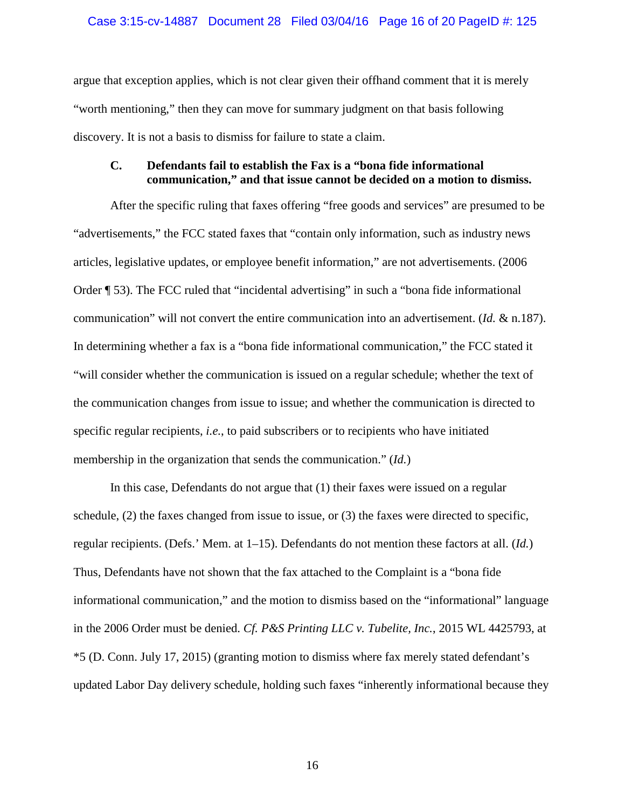### Case 3:15-cv-14887 Document 28 Filed 03/04/16 Page 16 of 20 PageID #: 125

argue that exception applies, which is not clear given their offhand comment that it is merely "worth mentioning," then they can move for summary judgment on that basis following discovery. It is not a basis to dismiss for failure to state a claim.

# **C. Defendants fail to establish the Fax is a "bona fide informational communication," and that issue cannot be decided on a motion to dismiss.**

After the specific ruling that faxes offering "free goods and services" are presumed to be "advertisements," the FCC stated faxes that "contain only information, such as industry news articles, legislative updates, or employee benefit information," are not advertisements. (2006 Order ¶ 53). The FCC ruled that "incidental advertising" in such a "bona fide informational communication" will not convert the entire communication into an advertisement. (*Id.* & n.187). In determining whether a fax is a "bona fide informational communication," the FCC stated it "will consider whether the communication is issued on a regular schedule; whether the text of the communication changes from issue to issue; and whether the communication is directed to specific regular recipients, *i.e.*, to paid subscribers or to recipients who have initiated membership in the organization that sends the communication." (*Id.*)

In this case, Defendants do not argue that (1) their faxes were issued on a regular schedule, (2) the faxes changed from issue to issue, or (3) the faxes were directed to specific, regular recipients. (Defs.' Mem. at 1–15). Defendants do not mention these factors at all. (*Id.*) Thus, Defendants have not shown that the fax attached to the Complaint is a "bona fide informational communication," and the motion to dismiss based on the "informational" language in the 2006 Order must be denied. *Cf. P&S Printing LLC v. Tubelite, Inc.*, 2015 WL 4425793, at \*5 (D. Conn. July 17, 2015) (granting motion to dismiss where fax merely stated defendant's updated Labor Day delivery schedule, holding such faxes "inherently informational because they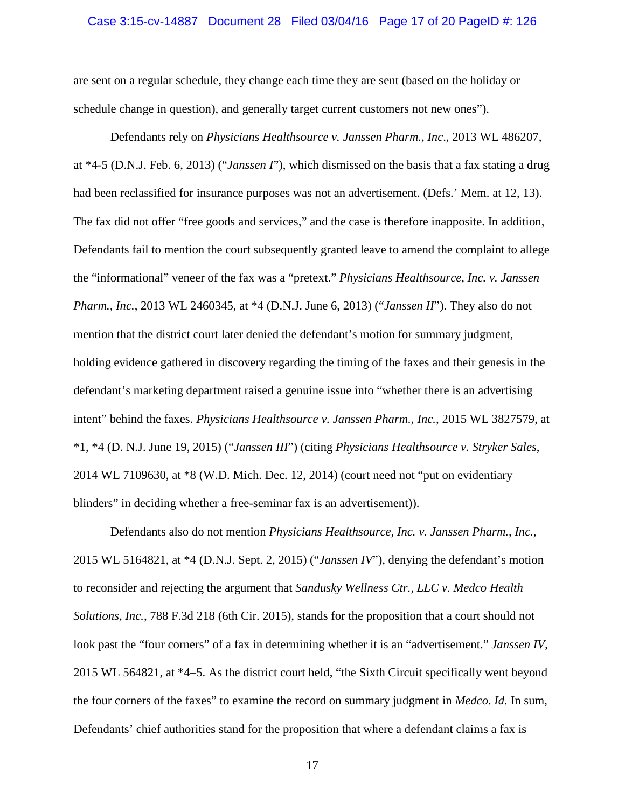#### Case 3:15-cv-14887 Document 28 Filed 03/04/16 Page 17 of 20 PageID #: 126

are sent on a regular schedule, they change each time they are sent (based on the holiday or schedule change in question), and generally target current customers not new ones").

Defendants rely on *Physicians Healthsource v. Janssen Pharm., Inc*., 2013 WL 486207, at \*4-5 (D.N.J. Feb. 6, 2013) ("*Janssen I*"), which dismissed on the basis that a fax stating a drug had been reclassified for insurance purposes was not an advertisement. (Defs.' Mem. at 12, 13). The fax did not offer "free goods and services," and the case is therefore inapposite. In addition, Defendants fail to mention the court subsequently granted leave to amend the complaint to allege the "informational" veneer of the fax was a "pretext." *Physicians Healthsource, Inc. v. Janssen Pharm., Inc.*, 2013 WL 2460345, at \*4 (D.N.J. June 6, 2013) ("*Janssen II*"). They also do not mention that the district court later denied the defendant's motion for summary judgment, holding evidence gathered in discovery regarding the timing of the faxes and their genesis in the defendant's marketing department raised a genuine issue into "whether there is an advertising intent" behind the faxes. *Physicians Healthsource v. Janssen Pharm., Inc.*, 2015 WL 3827579, at \*1, \*4 (D. N.J. June 19, 2015) ("*Janssen III*") (citing *Physicians Healthsource v. Stryker Sales*, 2014 WL 7109630, at \*8 (W.D. Mich. Dec. 12, 2014) (court need not "put on evidentiary blinders" in deciding whether a free-seminar fax is an advertisement)).

Defendants also do not mention *Physicians Healthsource, Inc. v. Janssen Pharm., Inc.*, 2015 WL 5164821, at \*4 (D.N.J. Sept. 2, 2015) ("*Janssen IV*"), denying the defendant's motion to reconsider and rejecting the argument that *Sandusky Wellness Ctr., LLC v. Medco Health Solutions, Inc.*, 788 F.3d 218 (6th Cir. 2015), stands for the proposition that a court should not look past the "four corners" of a fax in determining whether it is an "advertisement." *Janssen IV*, 2015 WL 564821, at \*4–5. As the district court held, "the Sixth Circuit specifically went beyond the four corners of the faxes" to examine the record on summary judgment in *Medco*. *Id.* In sum, Defendants' chief authorities stand for the proposition that where a defendant claims a fax is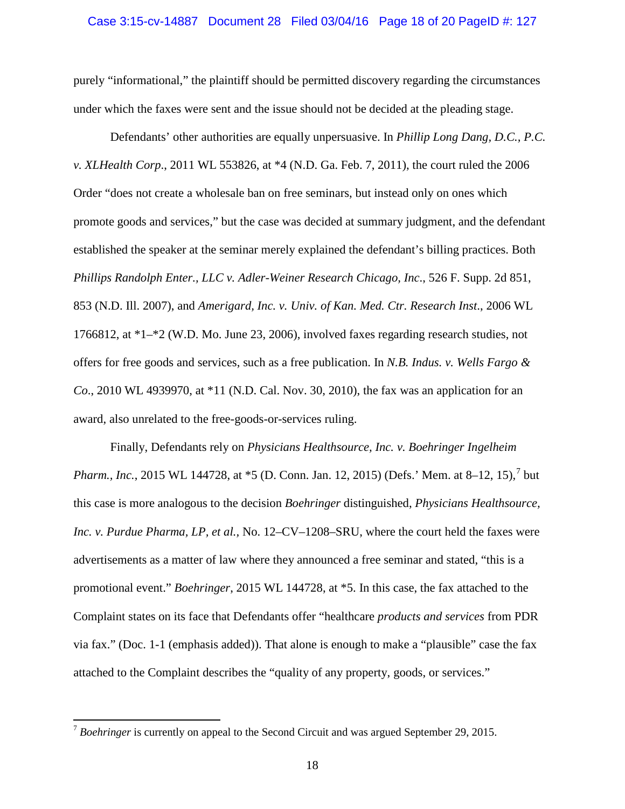#### Case 3:15-cv-14887 Document 28 Filed 03/04/16 Page 18 of 20 PageID #: 127

purely "informational," the plaintiff should be permitted discovery regarding the circumstances under which the faxes were sent and the issue should not be decided at the pleading stage.

Defendants' other authorities are equally unpersuasive. In *Phillip Long Dang, D.C., P.C. v. XLHealth Corp*., 2011 WL 553826, at \*4 (N.D. Ga. Feb. 7, 2011), the court ruled the 2006 Order "does not create a wholesale ban on free seminars, but instead only on ones which promote goods and services," but the case was decided at summary judgment, and the defendant established the speaker at the seminar merely explained the defendant's billing practices. Both *Phillips Randolph Enter., LLC v. Adler-Weiner Research Chicago, Inc*., 526 F. Supp. 2d 851, 853 (N.D. Ill. 2007), and *Amerigard, Inc. v. Univ. of Kan. Med. Ctr. Research Inst*., 2006 WL 1766812, at \*1–\*2 (W.D. Mo. June 23, 2006), involved faxes regarding research studies, not offers for free goods and services, such as a free publication. In *N.B. Indus. v. Wells Fargo & Co*., 2010 WL 4939970, at \*11 (N.D. Cal. Nov. 30, 2010), the fax was an application for an award, also unrelated to the free-goods-or-services ruling.

Finally, Defendants rely on *Physicians Healthsource, Inc. v. Boehringer Ingelheim Pharm., Inc.*, 2015 WL 144[7](#page-17-0)28, at \*5 (D. Conn. Jan. 12, 2015) (Defs.' Mem. at 8–12, 15),<sup>7</sup> but this case is more analogous to the decision *Boehringer* distinguished, *Physicians Healthsource, Inc. v. Purdue Pharma, LP, et al.,* No. 12–CV–1208–SRU, where the court held the faxes were advertisements as a matter of law where they announced a free seminar and stated, "this is a promotional event." *Boehringer*, 2015 WL 144728, at \*5. In this case, the fax attached to the Complaint states on its face that Defendants offer "healthcare *products and services* from PDR via fax." (Doc. 1-1 (emphasis added)). That alone is enough to make a "plausible" case the fax attached to the Complaint describes the "quality of any property, goods, or services."

l

<span id="page-17-0"></span><sup>&</sup>lt;sup>7</sup> Boehringer is currently on appeal to the Second Circuit and was argued September 29, 2015.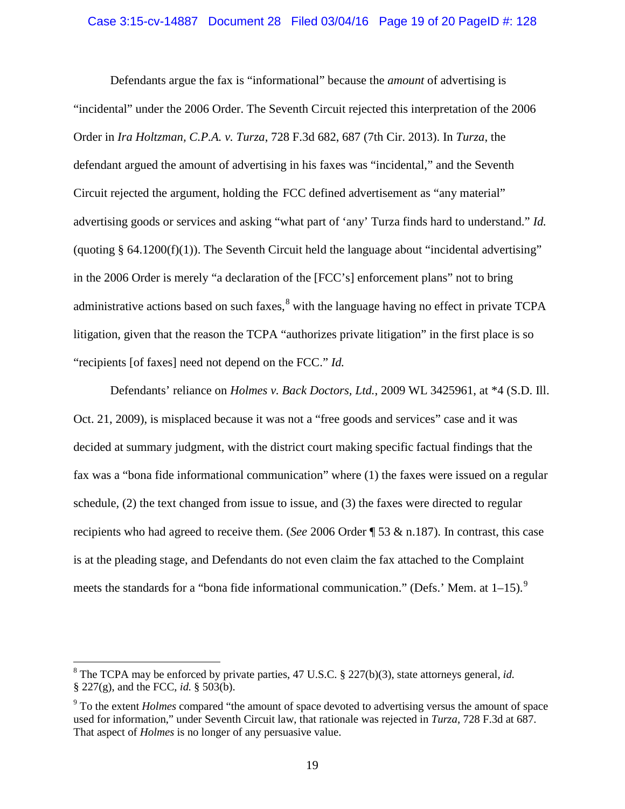### Case 3:15-cv-14887 Document 28 Filed 03/04/16 Page 19 of 20 PageID #: 128

Defendants argue the fax is "informational" because the *amount* of advertising is "incidental" under the 2006 Order. The Seventh Circuit rejected this interpretation of the 2006 Order in *Ira Holtzman, C.P.A. v. Turza*, 728 F.3d 682, 687 (7th Cir. 2013). In *Turza*, the defendant argued the amount of advertising in his faxes was "incidental," and the Seventh Circuit rejected the argument, holding the FCC defined advertisement as "any material" advertising goods or services and asking "what part of 'any' Turza finds hard to understand." *Id.*  (quoting  $§ 64.1200(f)(1)$ ). The Seventh Circuit held the language about "incidental advertising" in the 2006 Order is merely "a declaration of the [FCC's] enforcement plans" not to bring administrative actions based on such faxes, <sup>[8](#page-18-0)</sup> with the language having no effect in private TCPA litigation, given that the reason the TCPA "authorizes private litigation" in the first place is so "recipients [of faxes] need not depend on the FCC." *Id.*

Defendants' reliance on *Holmes v. Back Doctors, Ltd.*, 2009 WL 3425961, at \*4 (S.D. Ill. Oct. 21, 2009), is misplaced because it was not a "free goods and services" case and it was decided at summary judgment, with the district court making specific factual findings that the fax was a "bona fide informational communication" where (1) the faxes were issued on a regular schedule, (2) the text changed from issue to issue, and (3) the faxes were directed to regular recipients who had agreed to receive them. (*See* 2006 Order ¶ 53 & n.187). In contrast, this case is at the pleading stage, and Defendants do not even claim the fax attached to the Complaint meets the standards for a "bona fide informational communication." (Defs.' Mem. at  $1-15$ ).

l

<span id="page-18-0"></span><sup>8</sup> The TCPA may be enforced by private parties, 47 U.S.C. § 227(b)(3), state attorneys general, *id.*  § 227(g), and the FCC, *id.* § 503(b).

<span id="page-18-1"></span><sup>9</sup> To the extent *Holmes* compared "the amount of space devoted to advertising versus the amount of space used for information," under Seventh Circuit law, that rationale was rejected in *Turza*, 728 F.3d at 687. That aspect of *Holmes* is no longer of any persuasive value.